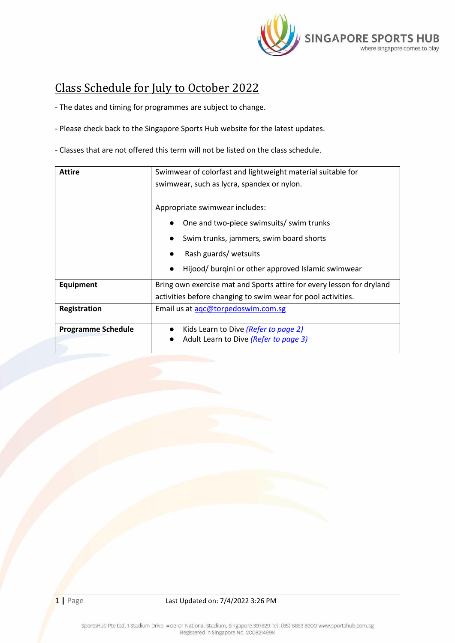

## <span id="page-0-0"></span>Class Schedule for July to October 2022

- The dates and timing for programmes are subject to change.

- Please check back to the Singapore Sports Hub website for the latest updates.

- Classes that are not offered this term will not be listed on the class schedule.

| <b>Attire</b>             | Swimwear of colorfast and lightweight material suitable for<br>swimwear, such as lycra, spandex or nylon. |  |  |  |
|---------------------------|-----------------------------------------------------------------------------------------------------------|--|--|--|
|                           | Appropriate swimwear includes:                                                                            |  |  |  |
|                           | One and two-piece swimsuits/ swim trunks                                                                  |  |  |  |
|                           | Swim trunks, jammers, swim board shorts                                                                   |  |  |  |
|                           | Rash guards/ wetsuits                                                                                     |  |  |  |
|                           | Hijood/ burqini or other approved Islamic swimwear                                                        |  |  |  |
| Equipment                 | Bring own exercise mat and Sports attire for every lesson for dryland                                     |  |  |  |
|                           | activities before changing to swim wear for pool activities.                                              |  |  |  |
| Registration              | Email us at agc@torpedoswim.com.sg                                                                        |  |  |  |
| <b>Programme Schedule</b> | Kids Learn to Dive (Refer to page 2)<br>$\bullet$                                                         |  |  |  |
|                           | Adult Learn to Dive (Refer to page 3)                                                                     |  |  |  |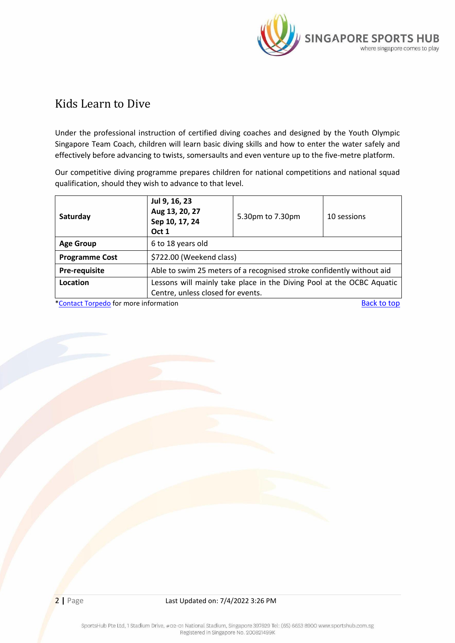

## <span id="page-1-0"></span>[Kids Learn to Dive](#page-1-0)

Under the professional instruction of certified diving coaches and designed by the Youth Olympic Singapore Team Coach, children will learn basic diving skills and how to enter the water safely and effectively before advancing to twists, somersaults and even venture up to the five-metre platform.

Our competitive diving programme prepares children for national competitions and national squad qualification, should they wish to advance to that level.

| Saturday              | Jul 9, 16, 23<br>Aug 13, 20, 27<br>Sep 10, 17, 24<br>Oct 1            | 5.30pm to 7.30pm | 10 sessions |  |
|-----------------------|-----------------------------------------------------------------------|------------------|-------------|--|
| <b>Age Group</b>      | 6 to 18 years old                                                     |                  |             |  |
| <b>Programme Cost</b> | \$722.00 (Weekend class)                                              |                  |             |  |
| Pre-requisite         | Able to swim 25 meters of a recognised stroke confidently without aid |                  |             |  |
| Location              | Lessons will mainly take place in the Diving Pool at the OCBC Aquatic |                  |             |  |
|                       | Centre, unless closed for events.                                     |                  |             |  |

[\\*Contact Torpedo](mailto:aqc@torpedoswim.com.sg) for more information by the set of the set of the [Back to top](#page-0-0) Back to top Back to top and the set of the set of the set of the set of the set of the set of the set of the set of the set of the set of the s